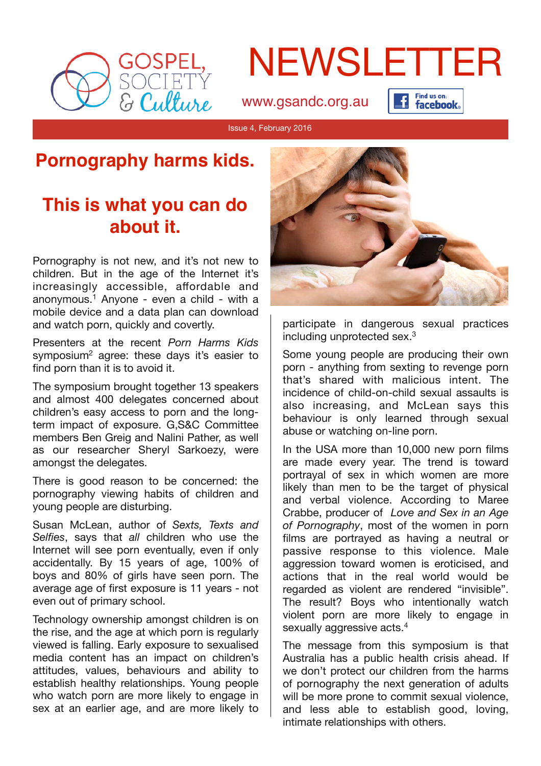

# NEWSLETTER

[www.gsandc.org.au](http://www.gsandc.org.au)

Find us on: Find us on:<br>Figure facebook.

Issue 4, February 2016

## **Pornography harms kids.**

## **This is what you can do about it.**

Pornography is not new, and it's not new to children. But in the age of the Internet it's increasingly accessible, affordable and anonymous.1 Anyone - even a child - with a mobile device and a data plan can download and watch porn, quickly and covertly.

Presenters at the recent *Porn Harms Kids* symposium<sup>2</sup> agree: these days it's easier to find porn than it is to avoid it.

The symposium brought together 13 speakers and almost 400 delegates concerned about children's easy access to porn and the longterm impact of exposure. G,S&C Committee members Ben Greig and Nalini Pather, as well as our researcher Sheryl Sarkoezy, were amongst the delegates.

There is good reason to be concerned: the pornography viewing habits of children and young people are disturbing.

Susan McLean, author of *Sexts, Texts and Selfies*, says that *all* children who use the Internet will see porn eventually, even if only accidentally. By 15 years of age, 100% of boys and 80% of girls have seen porn. The average age of first exposure is 11 years - not even out of primary school.

Technology ownership amongst children is on the rise, and the age at which porn is regularly viewed is falling. Early exposure to sexualised media content has an impact on children's attitudes, values, behaviours and ability to establish healthy relationships. Young people who watch porn are more likely to engage in sex at an earlier age, and are more likely to



participate in dangerous sexual practices including unprotected sex.3

Some young people are producing their own porn - anything from sexting to revenge porn that's shared with malicious intent. The incidence of child-on-child sexual assaults is also increasing, and McLean says this behaviour is only learned through sexual abuse or watching on-line porn.

In the USA more than 10,000 new porn films are made every year. The trend is toward portrayal of sex in which women are more likely than men to be the target of physical and verbal violence. According to Maree Crabbe, producer of *Love and Sex in an Age of Pornography*, most of the women in porn films are portrayed as having a neutral or passive response to this violence. Male aggression toward women is eroticised, and actions that in the real world would be regarded as violent are rendered "invisible". The result? Boys who intentionally watch violent porn are more likely to engage in sexually aggressive acts.<sup>4</sup>

The message from this symposium is that Australia has a public health crisis ahead. If we don't protect our children from the harms of pornography the next generation of adults will be more prone to commit sexual violence, and less able to establish good, loving, intimate relationships with others.